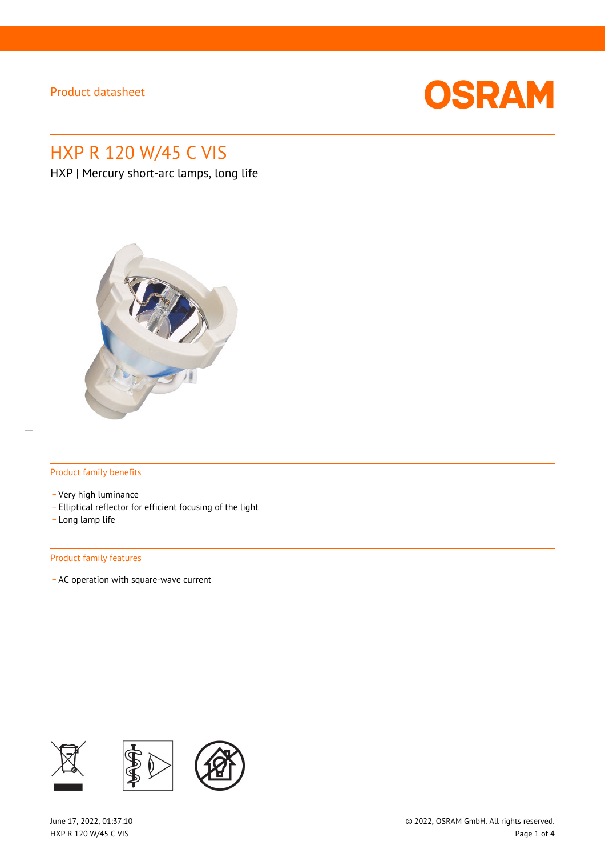

# HXP R 120 W/45 C VIS

HXP | Mercury short-arc lamps, long life



#### Product family benefits

- \_ Very high luminance
- \_ Elliptical reflector for efficient focusing of the light
- \_ Long lamp life

#### Product family features

\_ AC operation with square-wave current

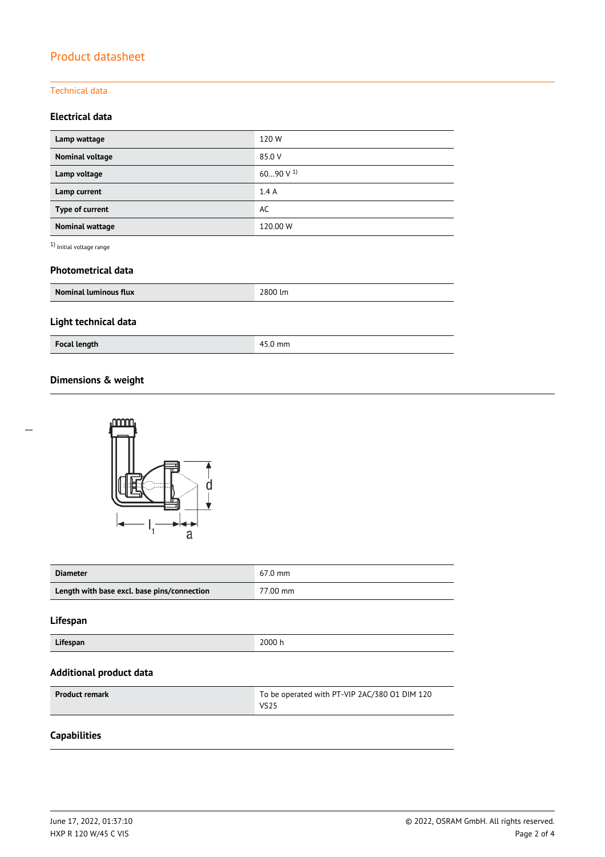#### Technical data

### **Electrical data**

| Lamp wattage           | 120W           |
|------------------------|----------------|
| <b>Nominal voltage</b> | 85.0 V         |
| Lamp voltage           | 6090 V $^{1)}$ |
| Lamp current           | 1.4A           |
| Type of current        | AC             |
| <b>Nominal wattage</b> | 120.00 W       |

 $^{\rm 1)}$  Initial voltage range

#### **Photometrical data**

| <b>Nominal luminous flux</b> | 2800 lm |
|------------------------------|---------|
| Light technical data         |         |
| <b>Focal length</b>          | 45.0 mm |

### **Dimensions & weight**



| <b>Diameter</b>                             | $67.0 \text{ mm}$ |
|---------------------------------------------|-------------------|
| Length with base excl. base pins/connection | 77.00 mm          |

#### **Lifespan**

 $\overline{a}$ 

**Lifespan** 2000 h

#### **Additional product data**

| <b>Product remark</b> | To be operated with PT-VIP 2AC/380 01 DIM 120 |
|-----------------------|-----------------------------------------------|
|                       | VS25                                          |

### **Capabilities**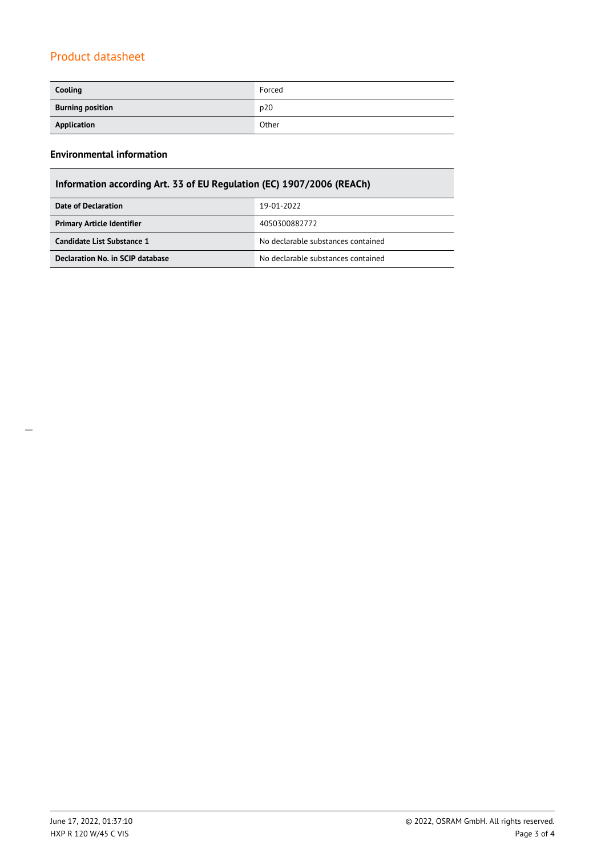| Cooling                 | Forced |
|-------------------------|--------|
| <b>Burning position</b> | p20    |
| Application             | Other  |

### **Environmental information**

| Information according Art. 33 of EU Regulation (EC) 1907/2006 (REACh)  |                                    |  |
|------------------------------------------------------------------------|------------------------------------|--|
| Date of Declaration                                                    | 19-01-2022                         |  |
| <b>Primary Article Identifier</b>                                      | 4050300882772                      |  |
| Candidate List Substance 1                                             | No declarable substances contained |  |
| Declaration No. in SCIP database<br>No declarable substances contained |                                    |  |